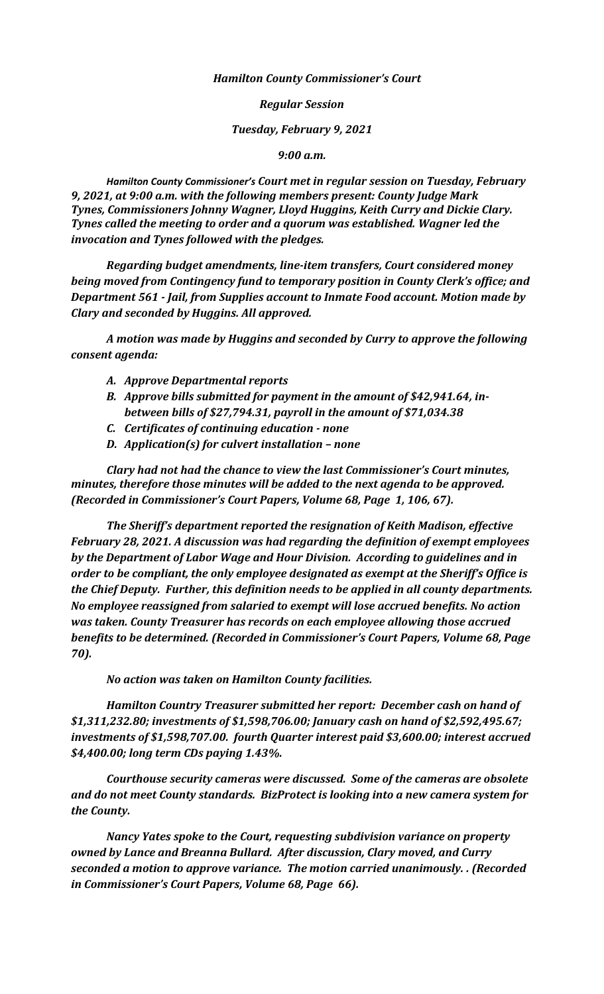*Hamilton County Commissioner's Court*

*Regular Session*

*Tuesday, February 9, 2021*

*9:00 a.m.*

*Hamilton County Commissioner's Court met in regular session on Tuesday, February 9, 2021, at 9:00 a.m. with the following members present: County Judge Mark Tynes, Commissioners Johnny Wagner, Lloyd Huggins, Keith Curry and Dickie Clary. Tynes called the meeting to order and a quorum was established. Wagner led the invocation and Tynes followed with the pledges.*

*Regarding budget amendments, line-item transfers, Court considered money being moved from Contingency fund to temporary position in County Clerk's office; and Department 561 - Jail, from Supplies account to Inmate Food account. Motion made by Clary and seconded by Huggins. All approved.*

*A motion was made by Huggins and seconded by Curry to approve the following consent agenda:*

- *A. Approve Departmental reports*
- *B. Approve bills submitted for payment in the amount of \$42,941.64, inbetween bills of \$27,794.31, payroll in the amount of \$71,034.38*
- *C. Certificates of continuing education - none*
- *D. Application(s) for culvert installation – none*

*Clary had not had the chance to view the last Commissioner's Court minutes, minutes, therefore those minutes will be added to the next agenda to be approved. (Recorded in Commissioner's Court Papers, Volume 68, Page 1, 106, 67).*

*The Sheriff's department reported the resignation of Keith Madison, effective February 28, 2021. A discussion was had regarding the definition of exempt employees by the Department of Labor Wage and Hour Division. According to guidelines and in order to be compliant, the only employee designated as exempt at the Sheriff's Office is the Chief Deputy. Further, this definition needs to be applied in all county departments. No employee reassigned from salaried to exempt will lose accrued benefits. No action was taken. County Treasurer has records on each employee allowing those accrued benefits to be determined. (Recorded in Commissioner's Court Papers, Volume 68, Page 70).*

*No action was taken on Hamilton County facilities.*

*Hamilton Country Treasurer submitted her report: December cash on hand of \$1,311,232.80; investments of \$1,598,706.00; January cash on hand of \$2,592,495.67; investments of \$1,598,707.00. fourth Quarter interest paid \$3,600.00; interest accrued \$4,400.00; long term CDs paying 1.43%.*

*Courthouse security cameras were discussed. Some of the cameras are obsolete and do not meet County standards. BizProtect is looking into a new camera system for the County.*

*Nancy Yates spoke to the Court, requesting subdivision variance on property owned by Lance and Breanna Bullard. After discussion, Clary moved, and Curry seconded a motion to approve variance. The motion carried unanimously. . (Recorded in Commissioner's Court Papers, Volume 68, Page 66).*